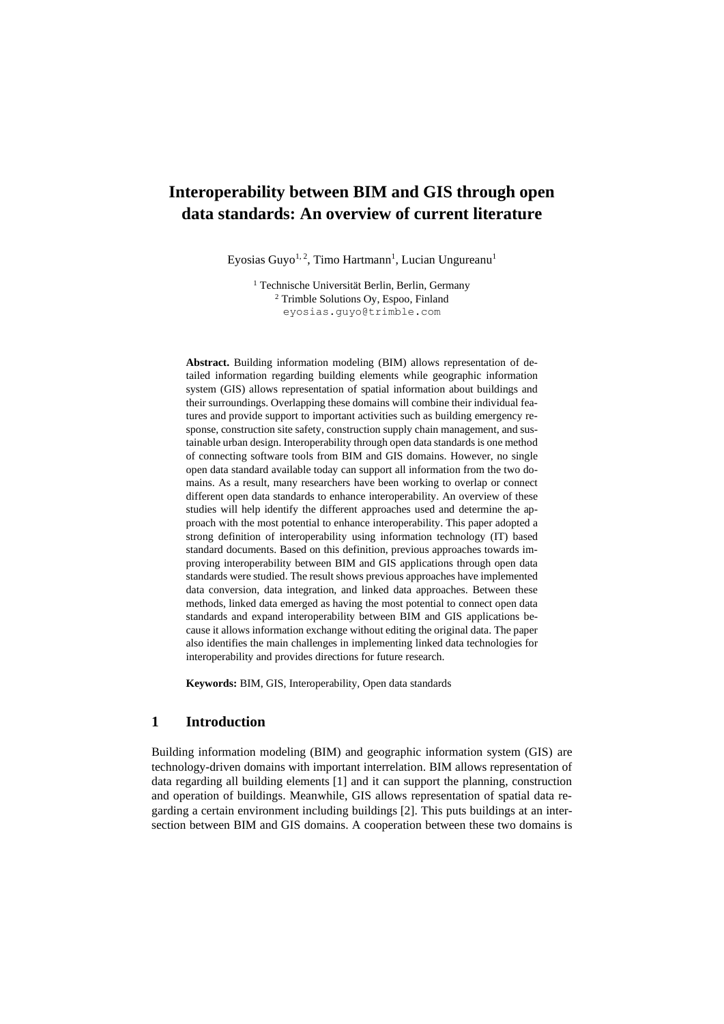# **Interoperability between BIM and GIS through open data standards: An overview of current literature**

Eyosias Guyo<sup>1, 2</sup>, Timo Hartmann<sup>1</sup>, Lucian Ungureanu<sup>1</sup>

<sup>1</sup> Technische Universität Berlin, Berlin, Germany <sup>2</sup> Trimble Solutions Oy, Espoo, Finland eyosias.guyo@trimble.com

**Abstract.** Building information modeling (BIM) allows representation of detailed information regarding building elements while geographic information system (GIS) allows representation of spatial information about buildings and their surroundings. Overlapping these domains will combine their individual features and provide support to important activities such as building emergency response, construction site safety, construction supply chain management, and sustainable urban design. Interoperability through open data standards is one method of connecting software tools from BIM and GIS domains. However, no single open data standard available today can support all information from the two domains. As a result, many researchers have been working to overlap or connect different open data standards to enhance interoperability. An overview of these studies will help identify the different approaches used and determine the approach with the most potential to enhance interoperability. This paper adopted a strong definition of interoperability using information technology (IT) based standard documents. Based on this definition, previous approaches towards improving interoperability between BIM and GIS applications through open data standards were studied. The result shows previous approaches have implemented data conversion, data integration, and linked data approaches. Between these methods, linked data emerged as having the most potential to connect open data standards and expand interoperability between BIM and GIS applications because it allows information exchange without editing the original data. The paper also identifies the main challenges in implementing linked data technologies for interoperability and provides directions for future research.

**Keywords:** BIM, GIS, Interoperability, Open data standards

## **1 Introduction**

Building information modeling (BIM) and geographic information system (GIS) are technology-driven domains with important interrelation. BIM allows representation of data regarding all building elements [1] and it can support the planning, construction and operation of buildings. Meanwhile, GIS allows representation of spatial data regarding a certain environment including buildings [2]. This puts buildings at an intersection between BIM and GIS domains. A cooperation between these two domains is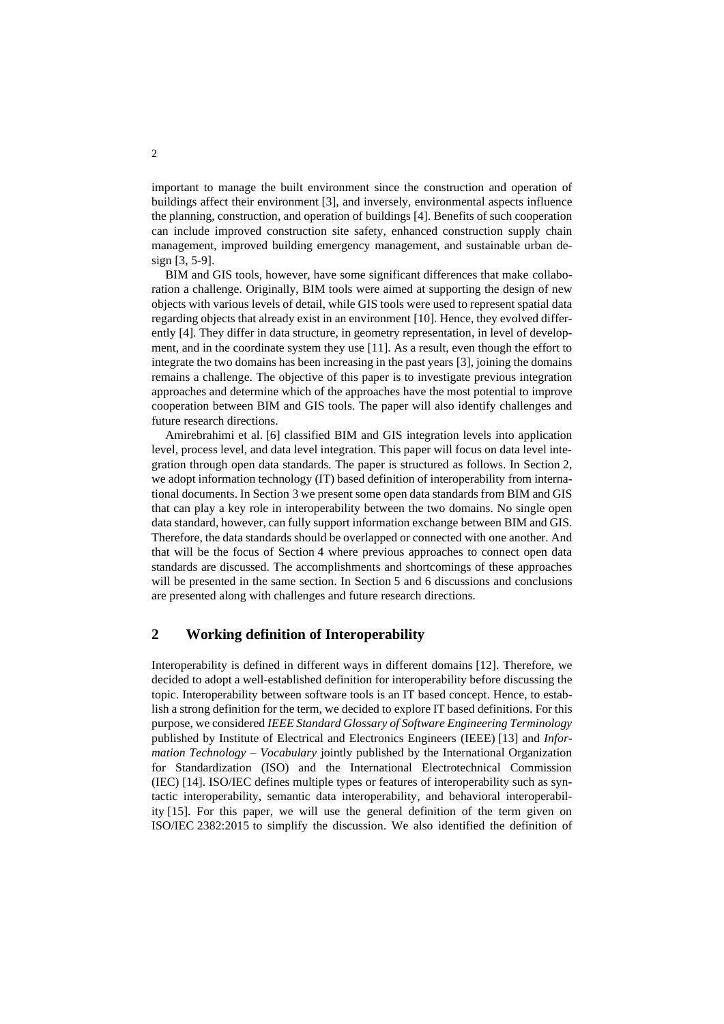important to manage the built environment since the construction and operation of buildings affect their environment [3], and inversely, environmental aspects influence the planning, construction, and operation of buildings [4]. Benefits of such cooperation can include improved construction site safety, enhanced construction supply chain management, improved building emergency management, and sustainable urban design [3, 5-9].

BIM and GIS tools, however, have some significant differences that make collaboration a challenge. Originally, BIM tools were aimed at supporting the design of new objects with various levels of detail, while GIS tools were used to represent spatial data regarding objects that already exist in an environment [10]. Hence, they evolved differently [4]. They differ in data structure, in geometry representation, in level of development, and in the coordinate system they use [11]. As a result, even though the effort to integrate the two domains has been increasing in the past years [3], joining the domains remains a challenge. The objective of this paper is to investigate previous integration approaches and determine which of the approaches have the most potential to improve cooperation between BIM and GIS tools. The paper will also identify challenges and future research directions.

Amirebrahimi et al. [6] classified BIM and GIS integration levels into application level, process level, and data level integration. This paper will focus on data level integration through open data standards. The paper is structured as follows. In Section 2, we adopt information technology (IT) based definition of interoperability from international documents. In Section 3 we present some open data standards from BIM and GIS that can play a key role in interoperability between the two domains. No single open data standard, however, can fully support information exchange between BIM and GIS. Therefore, the data standards should be overlapped or connected with one another. And that will be the focus of Section 4 where previous approaches to connect open data standards are discussed. The accomplishments and shortcomings of these approaches will be presented in the same section. In Section 5 and 6 discussions and conclusions are presented along with challenges and future research directions.

# **2 Working definition of Interoperability**

Interoperability is defined in different ways in different domains [12]. Therefore, we decided to adopt a well-established definition for interoperability before discussing the topic. Interoperability between software tools is an IT based concept. Hence, to establish a strong definition for the term, we decided to explore IT based definitions. For this purpose, we considered *IEEE Standard Glossary of Software Engineering Terminology* published by Institute of Electrical and Electronics Engineers (IEEE) [13] and *Information Technology – Vocabulary* jointly published by the International Organization for Standardization (ISO) and the International Electrotechnical Commission (IEC) [14]. ISO/IEC defines multiple types or features of interoperability such as syntactic interoperability, semantic data interoperability, and behavioral interoperability [15]. For this paper, we will use the general definition of the term given on ISO/IEC 2382:2015 to simplify the discussion. We also identified the definition of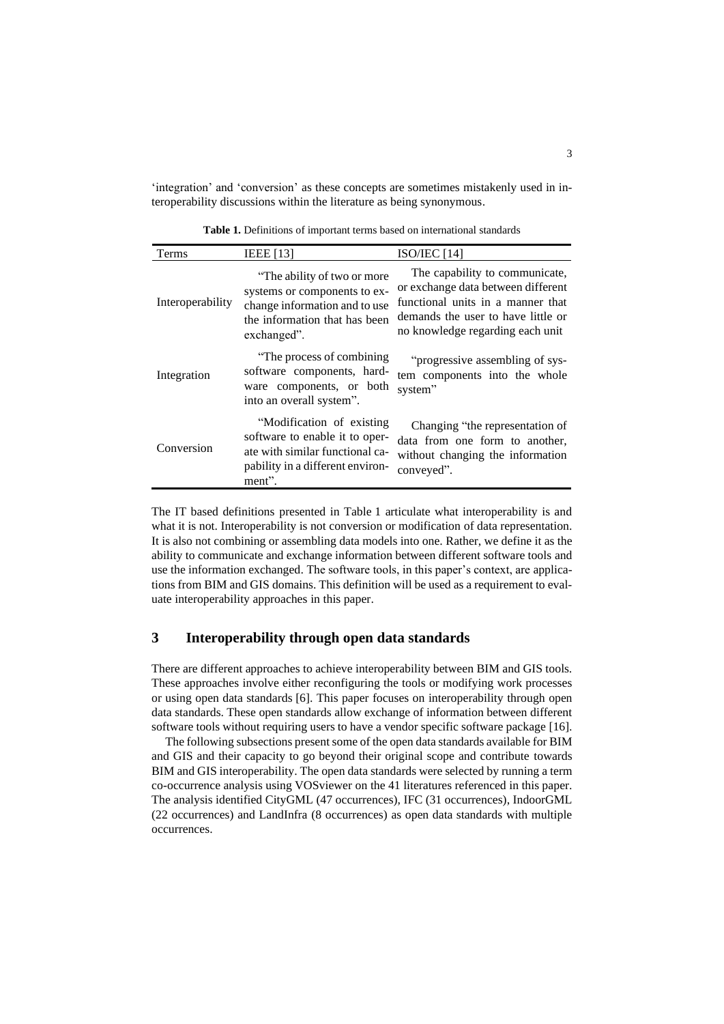'integration' and 'conversion' as these concepts are sometimes mistakenly used in interoperability discussions within the literature as being synonymous.

Terms IEEE [13] ISO/IEC [14] Interoperability "The ability of two or more systems or components to exchange information and to use the information that has been exchanged". The capability to communicate, or exchange data between different functional units in a manner that demands the user to have little or no knowledge regarding each unit Integration "The process of combining software components, hardware components, or both into an overall system". "progressive assembling of system components into the whole system" Conversion "Modification of existing software to enable it to operate with similar functional capability in a different environ-Changing "the representation of data from one form to another, without changing the information conveyed".

**Table 1.** Definitions of important terms based on international standards

The IT based definitions presented in Table 1 articulate what interoperability is and what it is not. Interoperability is not conversion or modification of data representation. It is also not combining or assembling data models into one. Rather, we define it as the ability to communicate and exchange information between different software tools and use the information exchanged. The software tools, in this paper's context, are applications from BIM and GIS domains. This definition will be used as a requirement to evaluate interoperability approaches in this paper.

# **3 Interoperability through open data standards**

ment".

There are different approaches to achieve interoperability between BIM and GIS tools. These approaches involve either reconfiguring the tools or modifying work processes or using open data standards [6]. This paper focuses on interoperability through open data standards. These open standards allow exchange of information between different software tools without requiring users to have a vendor specific software package [16].

The following subsections present some of the open data standards available for BIM and GIS and their capacity to go beyond their original scope and contribute towards BIM and GIS interoperability. The open data standards were selected by running a term co-occurrence analysis using VOSviewer on the 41 literatures referenced in this paper. The analysis identified CityGML (47 occurrences), IFC (31 occurrences), IndoorGML (22 occurrences) and LandInfra (8 occurrences) as open data standards with multiple occurrences.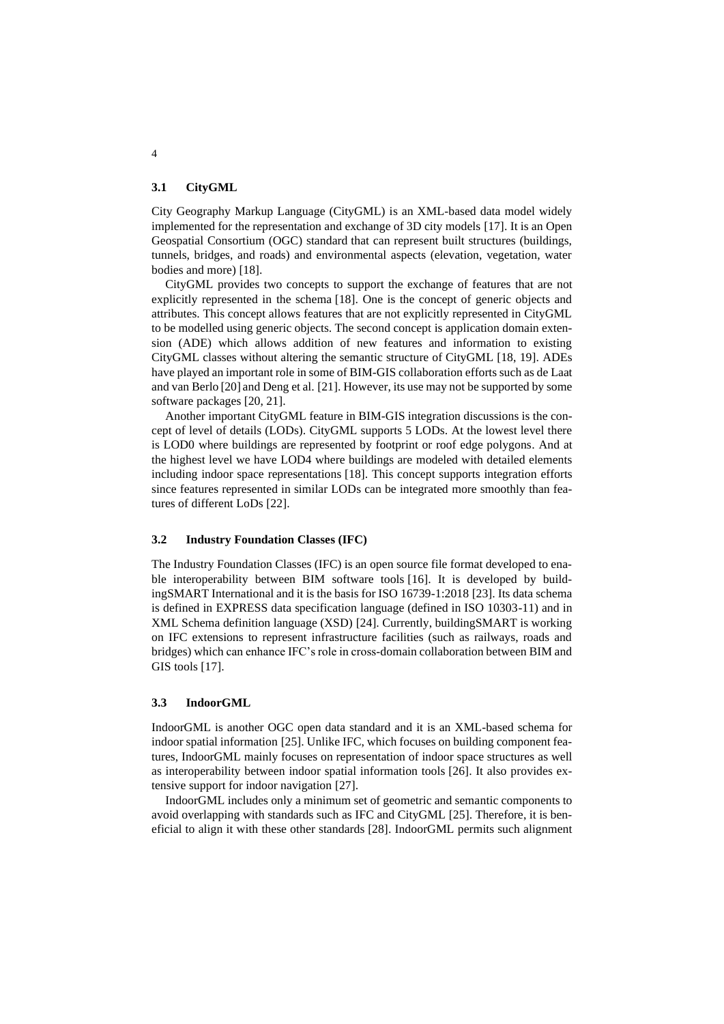### **3.1 CityGML**

City Geography Markup Language (CityGML) is an XML-based data model widely implemented for the representation and exchange of 3D city models [17]. It is an Open Geospatial Consortium (OGC) standard that can represent built structures (buildings, tunnels, bridges, and roads) and environmental aspects (elevation, vegetation, water bodies and more) [18].

CityGML provides two concepts to support the exchange of features that are not explicitly represented in the schema [18]. One is the concept of generic objects and attributes. This concept allows features that are not explicitly represented in CityGML to be modelled using generic objects. The second concept is application domain extension (ADE) which allows addition of new features and information to existing CityGML classes without altering the semantic structure of CityGML [18, 19]. ADEs have played an important role in some of BIM-GIS collaboration efforts such as de Laat and van Berlo [20] and Deng et al. [21]. However, its use may not be supported by some software packages [20, 21].

Another important CityGML feature in BIM-GIS integration discussions is the concept of level of details (LODs). CityGML supports 5 LODs. At the lowest level there is LOD0 where buildings are represented by footprint or roof edge polygons. And at the highest level we have LOD4 where buildings are modeled with detailed elements including indoor space representations [18]. This concept supports integration efforts since features represented in similar LODs can be integrated more smoothly than features of different LoDs [22].

## **3.2 Industry Foundation Classes (IFC)**

The Industry Foundation Classes (IFC) is an open source file format developed to enable interoperability between BIM software tools [16]. It is developed by buildingSMART International and it is the basis for ISO 16739-1:2018 [23]. Its data schema is defined in EXPRESS data specification language (defined in ISO 10303-11) and in XML Schema definition language (XSD) [24]. Currently, buildingSMART is working on IFC extensions to represent infrastructure facilities (such as railways, roads and bridges) which can enhance IFC's role in cross-domain collaboration between BIM and GIS tools [17].

### **3.3 IndoorGML**

IndoorGML is another OGC open data standard and it is an XML-based schema for indoor spatial information [25]. Unlike IFC, which focuses on building component features, IndoorGML mainly focuses on representation of indoor space structures as well as interoperability between indoor spatial information tools [26]. It also provides extensive support for indoor navigation [27].

IndoorGML includes only a minimum set of geometric and semantic components to avoid overlapping with standards such as IFC and CityGML [25]. Therefore, it is beneficial to align it with these other standards [28]. IndoorGML permits such alignment

4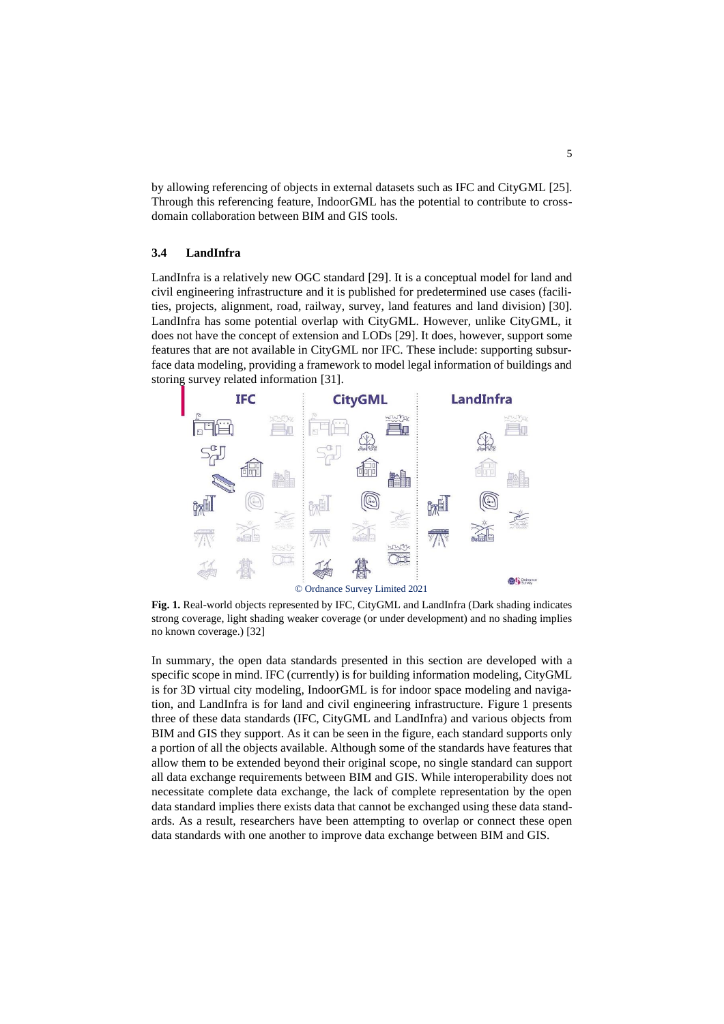by allowing referencing of objects in external datasets such as IFC and CityGML [25]. Through this referencing feature, IndoorGML has the potential to contribute to crossdomain collaboration between BIM and GIS tools.

### **3.4 LandInfra**

LandInfra is a relatively new OGC standard [29]. It is a conceptual model for land and civil engineering infrastructure and it is published for predetermined use cases (facilities, projects, alignment, road, railway, survey, land features and land division) [30]. LandInfra has some potential overlap with CityGML. However, unlike CityGML, it does not have the concept of extension and LODs [29]. It does, however, support some features that are not available in CityGML nor IFC. These include: supporting subsurface data modeling, providing a framework to model legal information of buildings and storing survey related information [31].



**Fig. 1.** Real-world objects represented by IFC, CityGML and LandInfra (Dark shading indicates strong coverage, light shading weaker coverage (or under development) and no shading implies no known coverage.) [32]

In summary, the open data standards presented in this section are developed with a specific scope in mind. IFC (currently) is for building information modeling, CityGML is for 3D virtual city modeling, IndoorGML is for indoor space modeling and navigation, and LandInfra is for land and civil engineering infrastructure. Figure 1 presents three of these data standards (IFC, CityGML and LandInfra) and various objects from BIM and GIS they support. As it can be seen in the figure, each standard supports only a portion of all the objects available. Although some of the standards have features that allow them to be extended beyond their original scope, no single standard can support all data exchange requirements between BIM and GIS. While interoperability does not necessitate complete data exchange, the lack of complete representation by the open data standard implies there exists data that cannot be exchanged using these data standards. As a result, researchers have been attempting to overlap or connect these open data standards with one another to improve data exchange between BIM and GIS.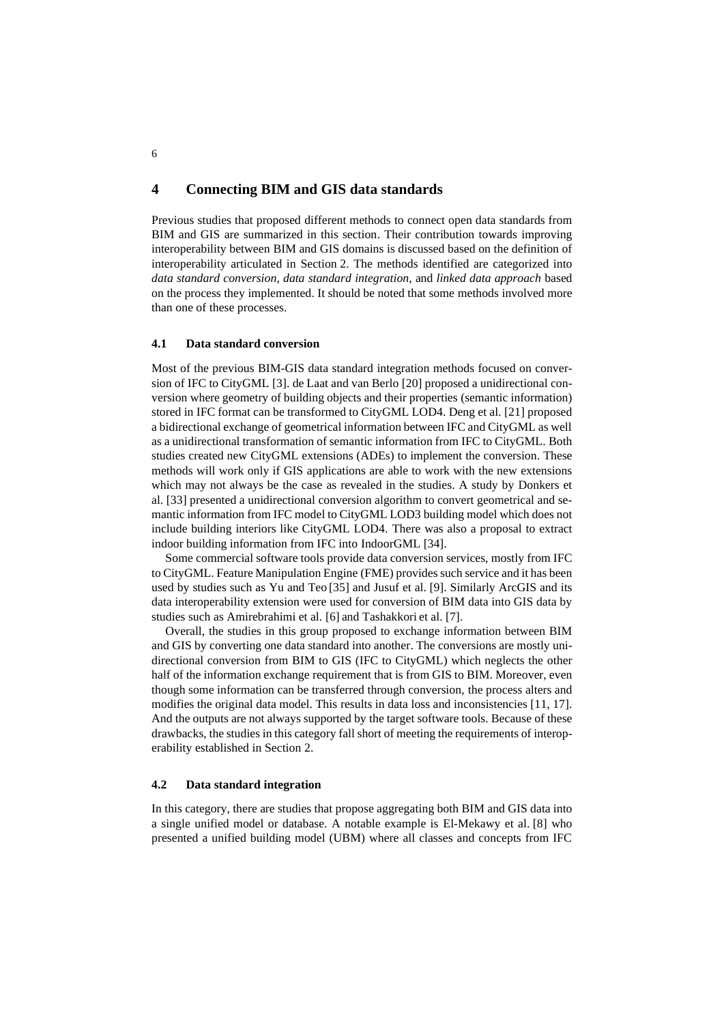# **4 Connecting BIM and GIS data standards**

Previous studies that proposed different methods to connect open data standards from BIM and GIS are summarized in this section. Their contribution towards improving interoperability between BIM and GIS domains is discussed based on the definition of interoperability articulated in Section 2. The methods identified are categorized into *data standard conversion*, *data standard integration*, and *linked data approach* based on the process they implemented. It should be noted that some methods involved more than one of these processes.

### **4.1 Data standard conversion**

Most of the previous BIM-GIS data standard integration methods focused on conversion of IFC to CityGML [3]. de Laat and van Berlo [20] proposed a unidirectional conversion where geometry of building objects and their properties (semantic information) stored in IFC format can be transformed to CityGML LOD4. Deng et al. [21] proposed a bidirectional exchange of geometrical information between IFC and CityGML as well as a unidirectional transformation of semantic information from IFC to CityGML. Both studies created new CityGML extensions (ADEs) to implement the conversion. These methods will work only if GIS applications are able to work with the new extensions which may not always be the case as revealed in the studies. A study by Donkers et al. [33] presented a unidirectional conversion algorithm to convert geometrical and semantic information from IFC model to CityGML LOD3 building model which does not include building interiors like CityGML LOD4. There was also a proposal to extract indoor building information from IFC into IndoorGML [34].

Some commercial software tools provide data conversion services, mostly from IFC to CityGML. Feature Manipulation Engine (FME) provides such service and it has been used by studies such as Yu and Teo [35] and Jusuf et al. [9]. Similarly ArcGIS and its data interoperability extension were used for conversion of BIM data into GIS data by studies such as Amirebrahimi et al. [6] and Tashakkori et al. [7].

Overall, the studies in this group proposed to exchange information between BIM and GIS by converting one data standard into another. The conversions are mostly unidirectional conversion from BIM to GIS (IFC to CityGML) which neglects the other half of the information exchange requirement that is from GIS to BIM. Moreover, even though some information can be transferred through conversion, the process alters and modifies the original data model. This results in data loss and inconsistencies [11, 17]. And the outputs are not always supported by the target software tools. Because of these drawbacks, the studies in this category fall short of meeting the requirements of interoperability established in Section 2.

### **4.2 Data standard integration**

In this category, there are studies that propose aggregating both BIM and GIS data into a single unified model or database. A notable example is El-Mekawy et al. [8] who presented a unified building model (UBM) where all classes and concepts from IFC

6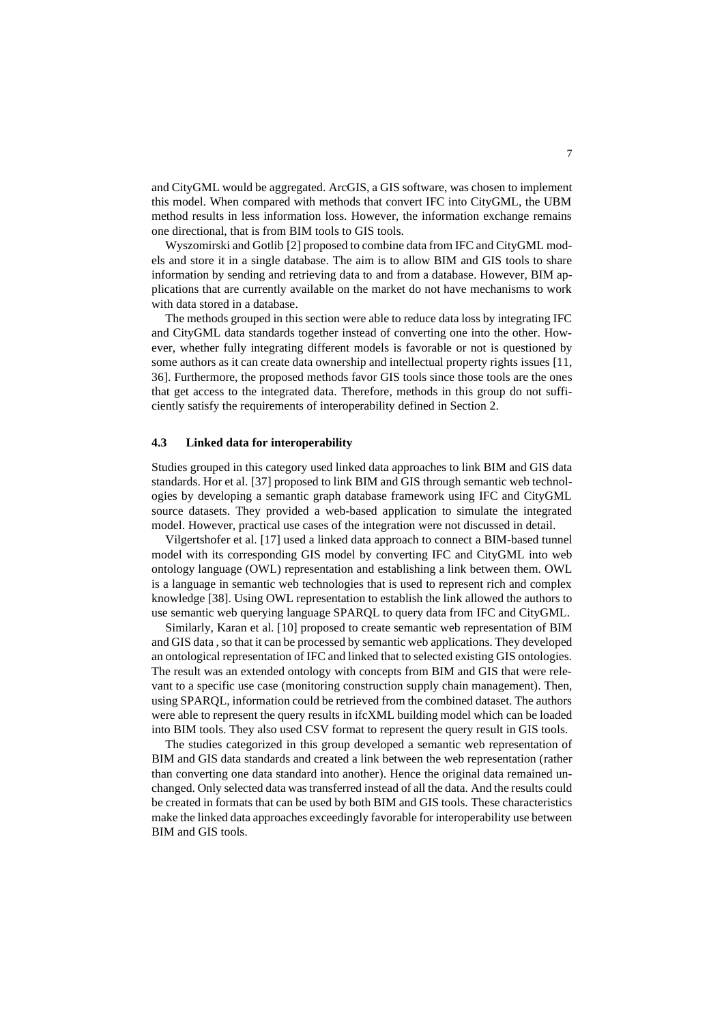and CityGML would be aggregated. ArcGIS, a GIS software, was chosen to implement this model. When compared with methods that convert IFC into CityGML, the UBM method results in less information loss. However, the information exchange remains one directional, that is from BIM tools to GIS tools.

Wyszomirski and Gotlib [2] proposed to combine data from IFC and CityGML models and store it in a single database. The aim is to allow BIM and GIS tools to share information by sending and retrieving data to and from a database. However, BIM applications that are currently available on the market do not have mechanisms to work with data stored in a database.

The methods grouped in this section were able to reduce data loss by integrating IFC and CityGML data standards together instead of converting one into the other. However, whether fully integrating different models is favorable or not is questioned by some authors as it can create data ownership and intellectual property rights issues [11, 36]. Furthermore, the proposed methods favor GIS tools since those tools are the ones that get access to the integrated data. Therefore, methods in this group do not sufficiently satisfy the requirements of interoperability defined in Section 2.

#### **4.3 Linked data for interoperability**

Studies grouped in this category used linked data approaches to link BIM and GIS data standards. Hor et al. [37] proposed to link BIM and GIS through semantic web technologies by developing a semantic graph database framework using IFC and CityGML source datasets. They provided a web-based application to simulate the integrated model. However, practical use cases of the integration were not discussed in detail.

Vilgertshofer et al. [17] used a linked data approach to connect a BIM-based tunnel model with its corresponding GIS model by converting IFC and CityGML into web ontology language (OWL) representation and establishing a link between them. OWL is a language in semantic web technologies that is used to represent rich and complex knowledge [38]. Using OWL representation to establish the link allowed the authors to use semantic web querying language SPARQL to query data from IFC and CityGML.

Similarly, Karan et al. [10] proposed to create semantic web representation of BIM and GIS data , so that it can be processed by semantic web applications. They developed an ontological representation of IFC and linked that to selected existing GIS ontologies. The result was an extended ontology with concepts from BIM and GIS that were relevant to a specific use case (monitoring construction supply chain management). Then, using SPARQL, information could be retrieved from the combined dataset. The authors were able to represent the query results in ifcXML building model which can be loaded into BIM tools. They also used CSV format to represent the query result in GIS tools.

The studies categorized in this group developed a semantic web representation of BIM and GIS data standards and created a link between the web representation (rather than converting one data standard into another). Hence the original data remained unchanged. Only selected data was transferred instead of all the data. And the results could be created in formats that can be used by both BIM and GIS tools. These characteristics make the linked data approaches exceedingly favorable for interoperability use between BIM and GIS tools.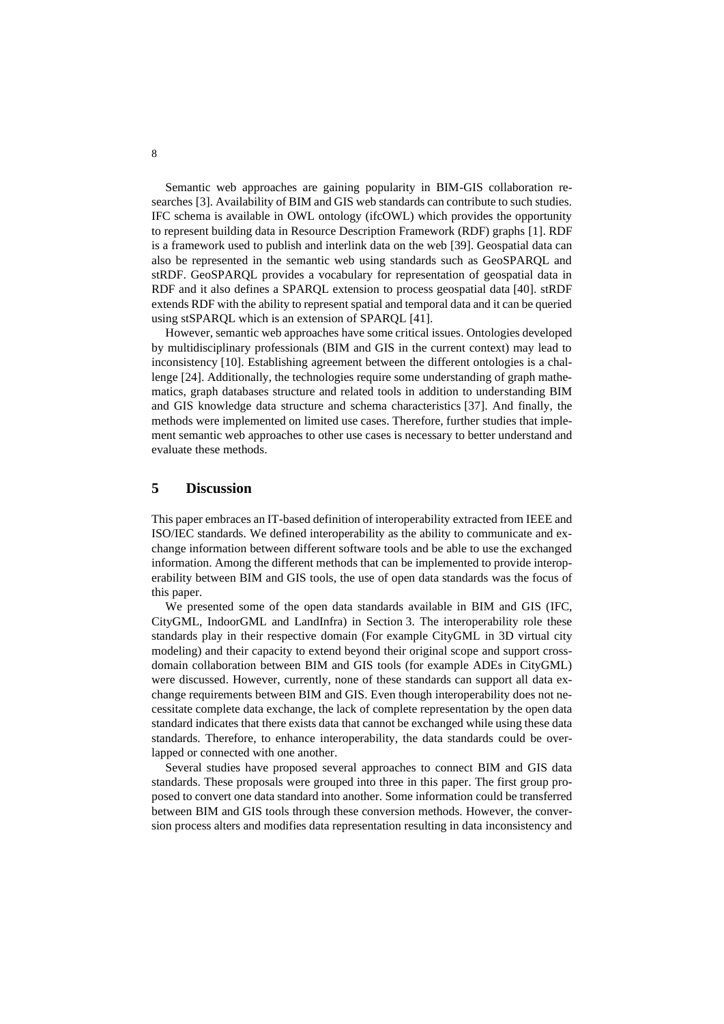Semantic web approaches are gaining popularity in BIM-GIS collaboration researches [3]. Availability of BIM and GIS web standards can contribute to such studies. IFC schema is available in OWL ontology (ifcOWL) which provides the opportunity to represent building data in Resource Description Framework (RDF) graphs [1]. RDF is a framework used to publish and interlink data on the web [39]. Geospatial data can also be represented in the semantic web using standards such as GeoSPARQL and stRDF. GeoSPARQL provides a vocabulary for representation of geospatial data in RDF and it also defines a SPARQL extension to process geospatial data [40]. stRDF extends RDF with the ability to represent spatial and temporal data and it can be queried using stSPARQL which is an extension of SPARQL [41].

However, semantic web approaches have some critical issues. Ontologies developed by multidisciplinary professionals (BIM and GIS in the current context) may lead to inconsistency [10]. Establishing agreement between the different ontologies is a challenge [24]. Additionally, the technologies require some understanding of graph mathematics, graph databases structure and related tools in addition to understanding BIM and GIS knowledge data structure and schema characteristics [37]. And finally, the methods were implemented on limited use cases. Therefore, further studies that implement semantic web approaches to other use cases is necessary to better understand and evaluate these methods.

# **5 Discussion**

This paper embraces an IT-based definition of interoperability extracted from IEEE and ISO/IEC standards. We defined interoperability as the ability to communicate and exchange information between different software tools and be able to use the exchanged information. Among the different methods that can be implemented to provide interoperability between BIM and GIS tools, the use of open data standards was the focus of this paper.

We presented some of the open data standards available in BIM and GIS (IFC, CityGML, IndoorGML and LandInfra) in Section 3. The interoperability role these standards play in their respective domain (For example CityGML in 3D virtual city modeling) and their capacity to extend beyond their original scope and support crossdomain collaboration between BIM and GIS tools (for example ADEs in CityGML) were discussed. However, currently, none of these standards can support all data exchange requirements between BIM and GIS. Even though interoperability does not necessitate complete data exchange, the lack of complete representation by the open data standard indicates that there exists data that cannot be exchanged while using these data standards. Therefore, to enhance interoperability, the data standards could be overlapped or connected with one another.

Several studies have proposed several approaches to connect BIM and GIS data standards. These proposals were grouped into three in this paper. The first group proposed to convert one data standard into another. Some information could be transferred between BIM and GIS tools through these conversion methods. However, the conversion process alters and modifies data representation resulting in data inconsistency and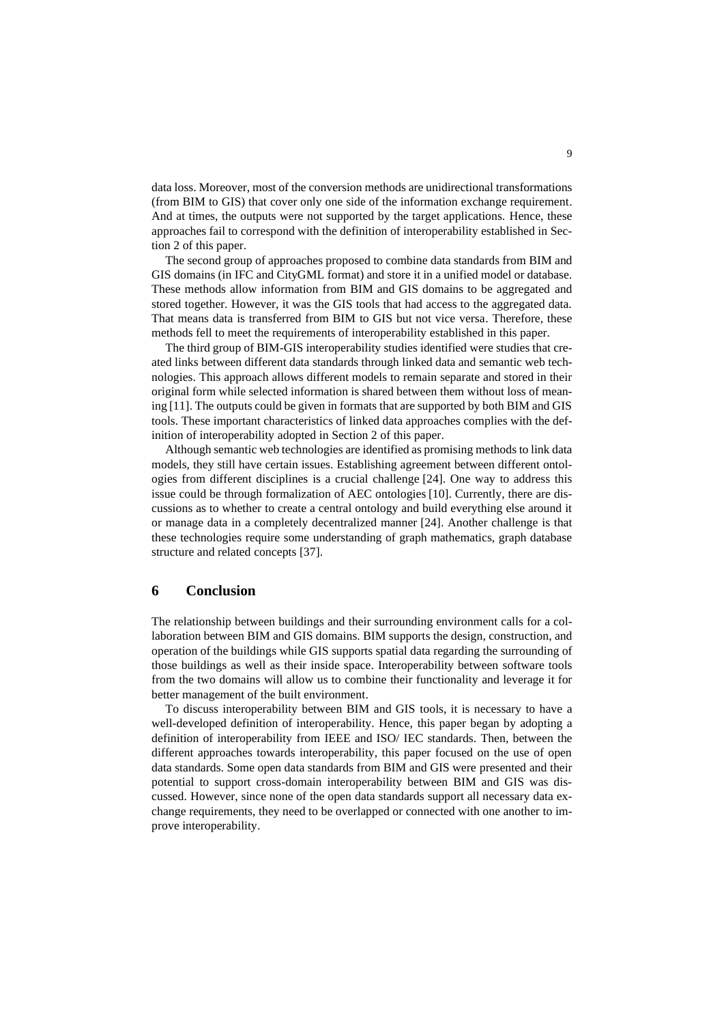data loss. Moreover, most of the conversion methods are unidirectional transformations (from BIM to GIS) that cover only one side of the information exchange requirement. And at times, the outputs were not supported by the target applications. Hence, these approaches fail to correspond with the definition of interoperability established in Section 2 of this paper.

The second group of approaches proposed to combine data standards from BIM and GIS domains (in IFC and CityGML format) and store it in a unified model or database. These methods allow information from BIM and GIS domains to be aggregated and stored together. However, it was the GIS tools that had access to the aggregated data. That means data is transferred from BIM to GIS but not vice versa. Therefore, these methods fell to meet the requirements of interoperability established in this paper.

The third group of BIM-GIS interoperability studies identified were studies that created links between different data standards through linked data and semantic web technologies. This approach allows different models to remain separate and stored in their original form while selected information is shared between them without loss of meaning [11]. The outputs could be given in formats that are supported by both BIM and GIS tools. These important characteristics of linked data approaches complies with the definition of interoperability adopted in Section 2 of this paper.

Although semantic web technologies are identified as promising methods to link data models, they still have certain issues. Establishing agreement between different ontologies from different disciplines is a crucial challenge [24]. One way to address this issue could be through formalization of AEC ontologies [10]. Currently, there are discussions as to whether to create a central ontology and build everything else around it or manage data in a completely decentralized manner [24]. Another challenge is that these technologies require some understanding of graph mathematics, graph database structure and related concepts [37].

# **6 Conclusion**

The relationship between buildings and their surrounding environment calls for a collaboration between BIM and GIS domains. BIM supports the design, construction, and operation of the buildings while GIS supports spatial data regarding the surrounding of those buildings as well as their inside space. Interoperability between software tools from the two domains will allow us to combine their functionality and leverage it for better management of the built environment.

To discuss interoperability between BIM and GIS tools, it is necessary to have a well-developed definition of interoperability. Hence, this paper began by adopting a definition of interoperability from IEEE and ISO/ IEC standards. Then, between the different approaches towards interoperability, this paper focused on the use of open data standards. Some open data standards from BIM and GIS were presented and their potential to support cross-domain interoperability between BIM and GIS was discussed. However, since none of the open data standards support all necessary data exchange requirements, they need to be overlapped or connected with one another to improve interoperability.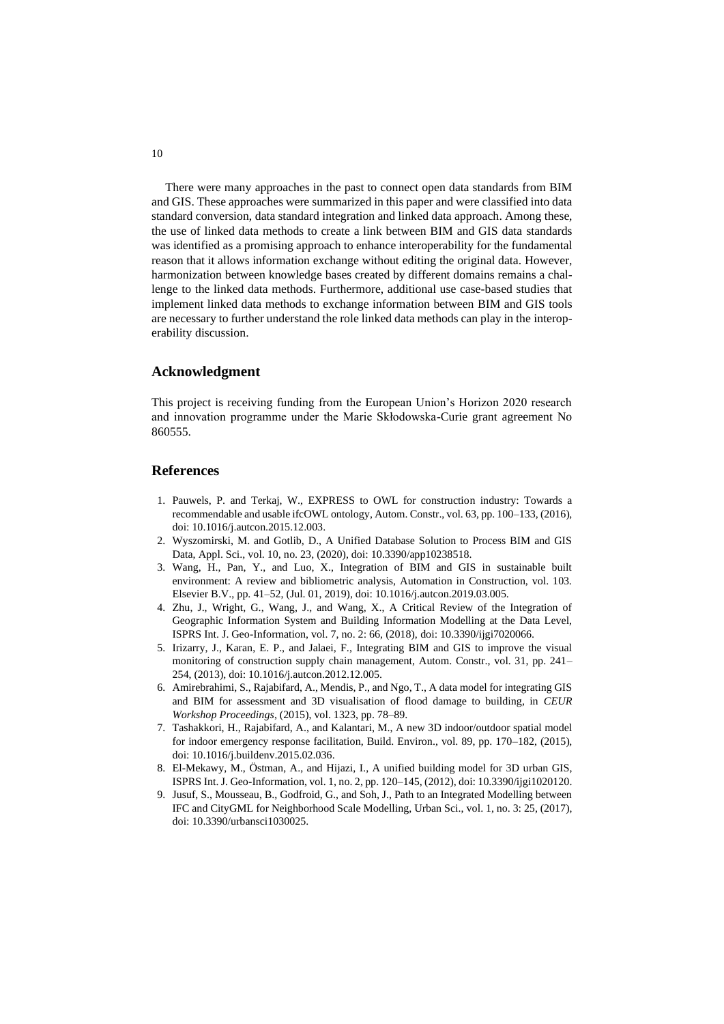There were many approaches in the past to connect open data standards from BIM and GIS. These approaches were summarized in this paper and were classified into data standard conversion, data standard integration and linked data approach. Among these, the use of linked data methods to create a link between BIM and GIS data standards was identified as a promising approach to enhance interoperability for the fundamental reason that it allows information exchange without editing the original data. However, harmonization between knowledge bases created by different domains remains a challenge to the linked data methods. Furthermore, additional use case-based studies that implement linked data methods to exchange information between BIM and GIS tools are necessary to further understand the role linked data methods can play in the interoperability discussion.

### **Acknowledgment**

This project is receiving funding from the European Union's Horizon 2020 research and innovation programme under the Marie Skłodowska-Curie grant agreement No 860555.

### **References**

- 1. Pauwels, P. and Terkaj, W., EXPRESS to OWL for construction industry: Towards a recommendable and usable ifcOWL ontology, Autom. Constr., vol. 63, pp. 100–133, (2016), doi: 10.1016/j.autcon.2015.12.003.
- 2. Wyszomirski, M. and Gotlib, D., A Unified Database Solution to Process BIM and GIS Data, Appl. Sci., vol. 10, no. 23, (2020), doi: 10.3390/app10238518.
- 3. Wang, H., Pan, Y., and Luo, X., Integration of BIM and GIS in sustainable built environment: A review and bibliometric analysis, Automation in Construction, vol. 103. Elsevier B.V., pp. 41–52, (Jul. 01, 2019), doi: 10.1016/j.autcon.2019.03.005.
- 4. Zhu, J., Wright, G., Wang, J., and Wang, X., A Critical Review of the Integration of Geographic Information System and Building Information Modelling at the Data Level, ISPRS Int. J. Geo-Information, vol. 7, no. 2: 66, (2018), doi: 10.3390/ijgi7020066.
- 5. Irizarry, J., Karan, E. P., and Jalaei, F., Integrating BIM and GIS to improve the visual monitoring of construction supply chain management, Autom. Constr., vol. 31, pp. 241– 254, (2013), doi: 10.1016/j.autcon.2012.12.005.
- 6. Amirebrahimi, S., Rajabifard, A., Mendis, P., and Ngo, T., A data model for integrating GIS and BIM for assessment and 3D visualisation of flood damage to building, in *CEUR Workshop Proceedings*, (2015), vol. 1323, pp. 78–89.
- 7. Tashakkori, H., Rajabifard, A., and Kalantari, M., A new 3D indoor/outdoor spatial model for indoor emergency response facilitation, Build. Environ., vol. 89, pp. 170–182, (2015), doi: 10.1016/j.buildenv.2015.02.036.
- 8. El-Mekawy, M., Östman, A., and Hijazi, I., A unified building model for 3D urban GIS, ISPRS Int. J. Geo-Information, vol. 1, no. 2, pp. 120–145, (2012), doi: 10.3390/ijgi1020120.
- 9. Jusuf, S., Mousseau, B., Godfroid, G., and Soh, J., Path to an Integrated Modelling between IFC and CityGML for Neighborhood Scale Modelling, Urban Sci., vol. 1, no. 3: 25, (2017), doi: 10.3390/urbansci1030025.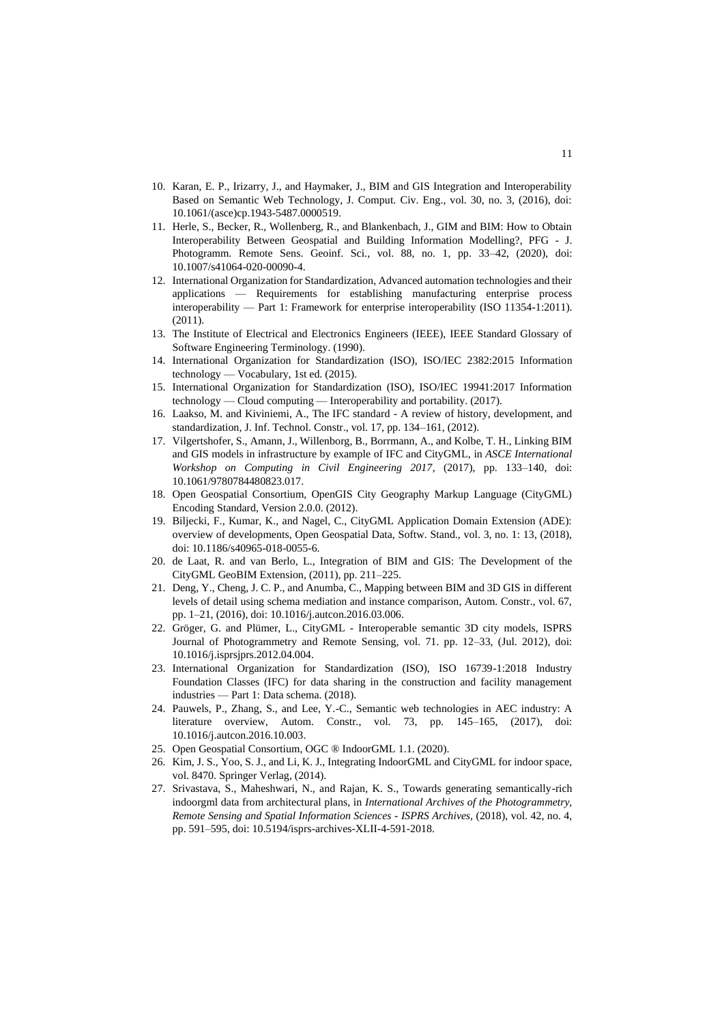- 10. Karan, E. P., Irizarry, J., and Haymaker, J., BIM and GIS Integration and Interoperability Based on Semantic Web Technology, J. Comput. Civ. Eng., vol. 30, no. 3, (2016), doi: 10.1061/(asce)cp.1943-5487.0000519.
- 11. Herle, S., Becker, R., Wollenberg, R., and Blankenbach, J., GIM and BIM: How to Obtain Interoperability Between Geospatial and Building Information Modelling?, PFG - J. Photogramm. Remote Sens. Geoinf. Sci., vol. 88, no. 1, pp. 33–42, (2020), doi: 10.1007/s41064-020-00090-4.
- 12. International Organization for Standardization, Advanced automation technologies and their applications — Requirements for establishing manufacturing enterprise process interoperability — Part 1: Framework for enterprise interoperability (ISO 11354-1:2011). (2011).
- 13. The Institute of Electrical and Electronics Engineers (IEEE), IEEE Standard Glossary of Software Engineering Terminology. (1990).
- 14. International Organization for Standardization (ISO), ISO/IEC 2382:2015 Information technology — Vocabulary, 1st ed. (2015).
- 15. International Organization for Standardization (ISO), ISO/IEC 19941:2017 Information technology — Cloud computing — Interoperability and portability. (2017).
- 16. Laakso, M. and Kiviniemi, A., The IFC standard A review of history, development, and standardization, J. Inf. Technol. Constr., vol. 17, pp. 134–161, (2012).
- 17. Vilgertshofer, S., Amann, J., Willenborg, B., Borrmann, A., and Kolbe, T. H., Linking BIM and GIS models in infrastructure by example of IFC and CityGML, in *ASCE International Workshop on Computing in Civil Engineering 2017*, (2017), pp. 133–140, doi: 10.1061/9780784480823.017.
- 18. Open Geospatial Consortium, OpenGIS City Geography Markup Language (CityGML) Encoding Standard, Version 2.0.0. (2012).
- 19. Biljecki, F., Kumar, K., and Nagel, C., CityGML Application Domain Extension (ADE): overview of developments, Open Geospatial Data, Softw. Stand., vol. 3, no. 1: 13, (2018), doi: 10.1186/s40965-018-0055-6.
- 20. de Laat, R. and van Berlo, L., Integration of BIM and GIS: The Development of the CityGML GeoBIM Extension, (2011), pp. 211–225.
- 21. Deng, Y., Cheng, J. C. P., and Anumba, C., Mapping between BIM and 3D GIS in different levels of detail using schema mediation and instance comparison, Autom. Constr., vol. 67, pp. 1–21, (2016), doi: 10.1016/j.autcon.2016.03.006.
- 22. Gröger, G. and Plümer, L., CityGML Interoperable semantic 3D city models, ISPRS Journal of Photogrammetry and Remote Sensing, vol. 71. pp. 12–33, (Jul. 2012), doi: 10.1016/j.isprsjprs.2012.04.004.
- 23. International Organization for Standardization (ISO), ISO 16739-1:2018 Industry Foundation Classes (IFC) for data sharing in the construction and facility management industries — Part 1: Data schema. (2018).
- 24. Pauwels, P., Zhang, S., and Lee, Y.-C., Semantic web technologies in AEC industry: A literature overview, Autom. Constr., vol. 73, pp. 145–165, (2017), doi: 10.1016/j.autcon.2016.10.003.
- 25. Open Geospatial Consortium, OGC ® IndoorGML 1.1. (2020).
- 26. Kim, J. S., Yoo, S. J., and Li, K. J., Integrating IndoorGML and CityGML for indoor space, vol. 8470. Springer Verlag, (2014).
- 27. Srivastava, S., Maheshwari, N., and Rajan, K. S., Towards generating semantically-rich indoorgml data from architectural plans, in *International Archives of the Photogrammetry, Remote Sensing and Spatial Information Sciences - ISPRS Archives*, (2018), vol. 42, no. 4, pp. 591–595, doi: 10.5194/isprs-archives-XLII-4-591-2018.